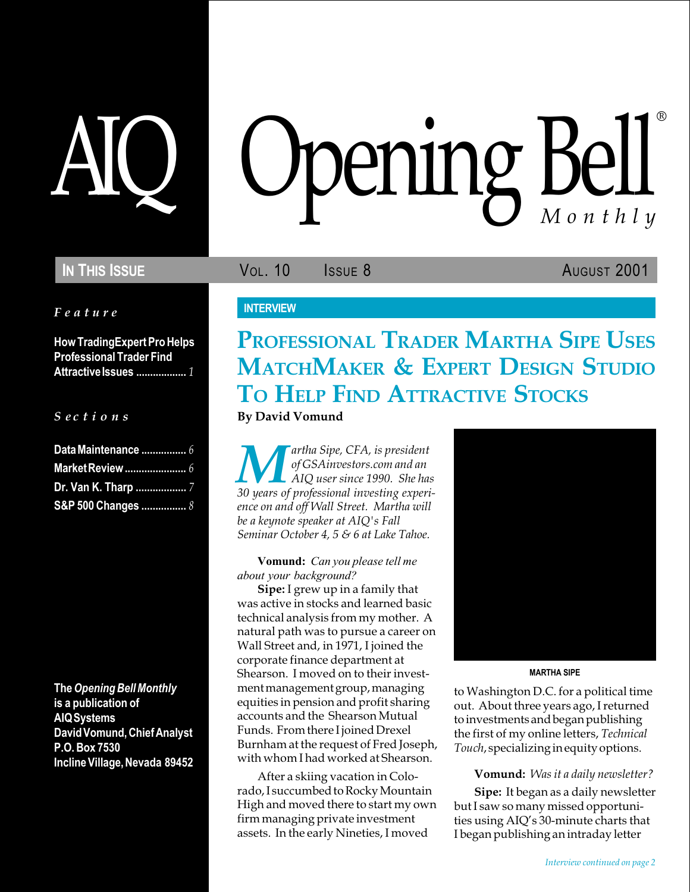Feature

How TradingExpert Pro Helps Professional Trader Find Attractive Issues ................... 1

## $S$  ec t i o n s

| Data Maintenance  6        |  |
|----------------------------|--|
|                            |  |
| <b>Dr. Van K. Tharp </b> 7 |  |
| S&P 500 Changes  8         |  |

The Opening Bell Monthly is a publication of AIQ Systems David Vomund, Chief Analyst P.O. Box 7530 Incline Village, Nevada 89452

# AIQ Opening Bell ®

IN THIS ISSUE **VOL. 10** ISSUE 8 AUGUST 2001

## **INTERVIEW**

# PROFESSIONAL TRADER MARTHA SIPE USES MATCHMAKER & EXPERT DESIGN STUDIO TO HELP FIND ATTRACTIVE STOCKS

By David Vomund

artha Sipe, CFA, is president of GSAinvestors.com and an AIQ user since 1990. She has 30 years of professional investing experience on and off Wall Street. Martha will be a keynote speaker at AIQ's Fall Seminar October 4, 5 & 6 at Lake Tahoe.

Vomund: Can you please tell me about your background?

Sipe: I grew up in a family that was active in stocks and learned basic technical analysis from my mother. A natural path was to pursue a career on Wall Street and, in 1971, I joined the corporate finance department at Shearson. I moved on to their investment management group, managing equities in pension and profit sharing accounts and the Shearson Mutual Funds. From there I joined Drexel Burnham at the request of Fred Joseph, with whom I had worked at Shearson.

After a skiing vacation in Colorado, I succumbed to Rocky Mountain High and moved there to start my own firm managing private investment assets. In the early Nineties, I moved



MARTHA SIPE

to Washington D.C. for a political time out. About three years ago, I returned to investments and began publishing the first of my online letters, Technical Touch, specializing in equity options.

#### Vomund: Was it a daily newsletter?

Sipe: It began as a daily newsletter but I saw so many missed opportunities using AIQ's 30-minute charts that I began publishing an intraday letter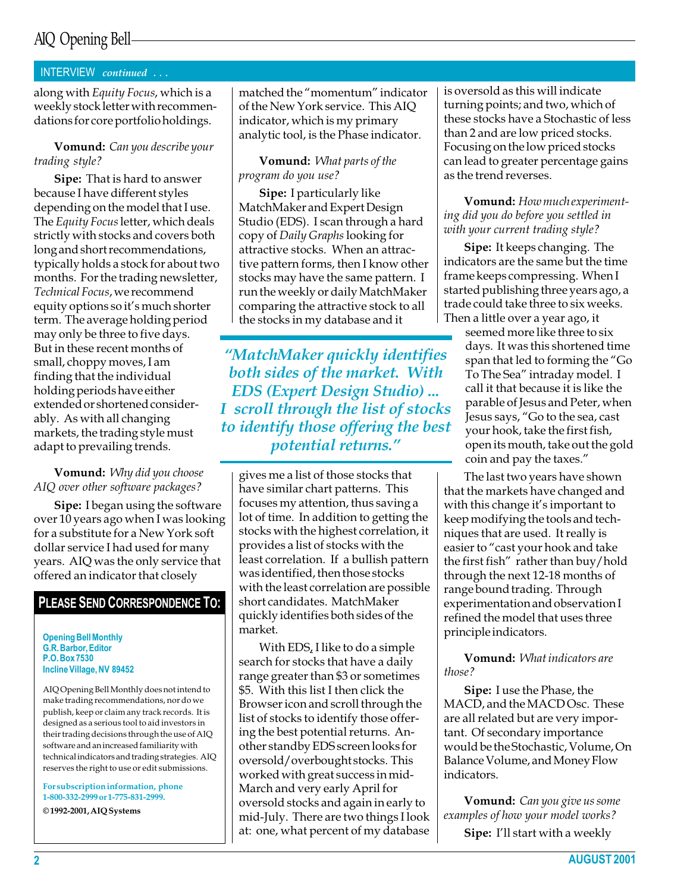#### INTERVIEW continued . . .

along with Equity Focus, which is a weekly stock letter with recommendations for core portfolio holdings.

#### Vomund: Can you describe your trading style?

Sipe: That is hard to answer because I have different styles depending on the model that I use. The Equity Focus letter, which deals strictly with stocks and covers both long and short recommendations, typically holds a stock for about two months. For the trading newsletter, Technical Focus, we recommend equity options so it's much shorter term. The average holding period may only be three to five days. But in these recent months of small, choppy moves, I am finding that the individual holding periods have either extended or shortened considerably. As with all changing markets, the trading style must adapt to prevailing trends.

#### Vomund: Why did you choose AIQ over other software packages?

Sipe: I began using the software over 10 years ago when I was looking for a substitute for a New York soft dollar service I had used for many years. AIQ was the only service that offered an indicator that closely

#### PLEASE SEND CORRESPONDENCE TO:

Opening Bell Monthly G.R. Barbor, Editor P.O. Box 7530 Incline Village, NV 89452

AIQ Opening Bell Monthly does not intend to make trading recommendations, nor do we publish, keep or claim any track records. It is designed as a serious tool to aid investors in their trading decisions through the use of AIQ software and an increased familiarity with technical indicators and trading strategies. AIQ reserves the right to use or edit submissions.

For subscription information, phone 1-800-332-2999 or 1-775-831-2999.

© 1992-2001, AIQ Systems

matched the "momentum" indicator of the New York service. This AIQ indicator, which is my primary analytic tool, is the Phase indicator.

#### Vomund: What parts of the program do you use?

Sipe: I particularly like MatchMaker and Expert Design Studio (EDS). I scan through a hard copy of Daily Graphs looking for attractive stocks. When an attractive pattern forms, then I know other stocks may have the same pattern. I run the weekly or daily MatchMaker comparing the attractive stock to all the stocks in my database and it

MatchMaker quickly identifies both sides of the market. With EDS (Expert Design Studio) ... I scroll through the list of stocks to identify those offering the best potential returns.

gives me a list of those stocks that have similar chart patterns. This focuses my attention, thus saving a lot of time. In addition to getting the stocks with the highest correlation, it provides a list of stocks with the least correlation. If a bullish pattern was identified, then those stocks with the least correlation are possible short candidates. MatchMaker quickly identifies both sides of the market.

With EDS, I like to do a simple search for stocks that have a daily range greater than \$3 or sometimes \$5. With this list I then click the Browser icon and scroll through the list of stocks to identify those offering the best potential returns. Another standby EDS screen looks for oversold/overbought stocks. This worked with great success in mid-March and very early April for oversold stocks and again in early to mid-July. There are two things I look at: one, what percent of my database is oversold as this will indicate turning points; and two, which of these stocks have a Stochastic of less than 2 and are low priced stocks. Focusing on the low priced stocks can lead to greater percentage gains as the trend reverses.

#### Vomund: How much experimenting did you do before you settled in with your current trading style?

Sipe: It keeps changing. The indicators are the same but the time frame keeps compressing. When I started publishing three years ago, a trade could take three to six weeks. Then a little over a year ago, it

seemed more like three to six days. It was this shortened time span that led to forming the "Go To The Sea" intraday model. I call it that because it is like the parable of Jesus and Peter, when Jesus says, "Go to the sea, cast your hook, take the first fish, open its mouth, take out the gold coin and pay the taxes.

The last two years have shown that the markets have changed and with this change it's important to keep modifying the tools and techniques that are used. It really is easier to "cast your hook and take the first fish" rather than buy/hold through the next 12-18 months of range bound trading. Through experimentation and observation I refined the model that uses three principle indicators.

Vomund: What indicators are those?

Sipe: I use the Phase, the MACD, and the MACD Osc. These are all related but are very important. Of secondary importance would be the Stochastic, Volume, On Balance Volume, and Money Flow indicators.

Vomund: Can you give us some examples of how your model works? Sipe: I'll start with a weekly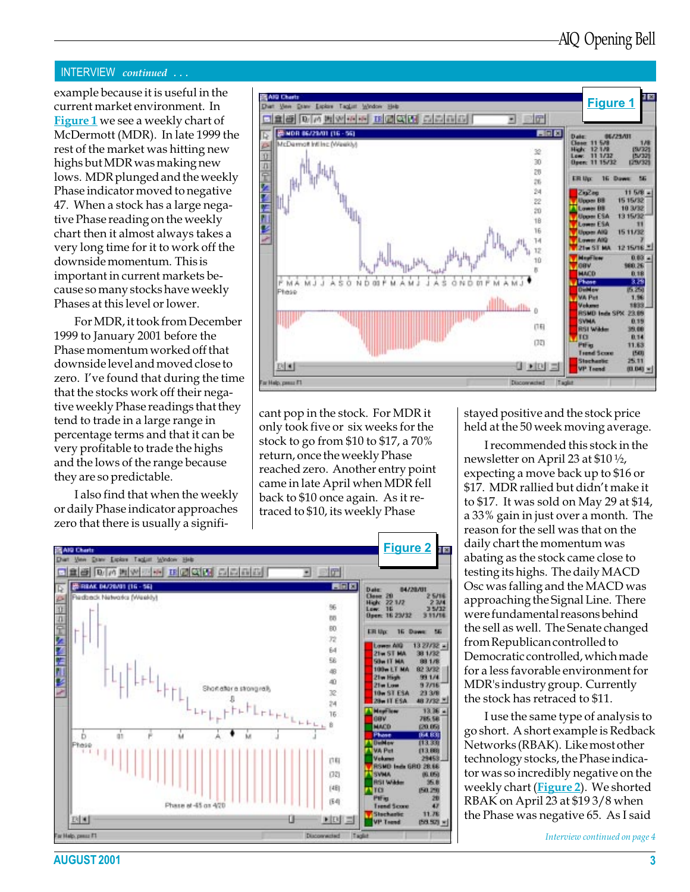#### INTERVIEW continued . . .

example because it is useful in the current market environment. In Figure 1 we see a weekly chart of McDermott (MDR). In late 1999 the rest of the market was hitting new highs but MDR was making new lows. MDR plunged and the weekly Phase indicator moved to negative 47. When a stock has a large negative Phase reading on the weekly chart then it almost always takes a very long time for it to work off the downside momentum. This is important in current markets because so many stocks have weekly Phases at this level or lower.

For MDR, it took from December 1999 to January 2001 before the Phase momentum worked off that downside level and moved close to zero. I've found that during the time that the stocks work off their negative weekly Phase readings that they tend to trade in a large range in percentage terms and that it can be very profitable to trade the highs and the lows of the range because they are so predictable.

I also find that when the weekly or daily Phase indicator approaches zero that there is usually a signifi-



cant pop in the stock. For MDR it only took five or six weeks for the stock to go from \$10 to \$17, a 70% return, once the weekly Phase reached zero. Another entry point came in late April when MDR fell back to \$10 once again. As it retraced to \$10, its weekly Phase



stayed positive and the stock price held at the 50 week moving average.

I recommended this stock in the newsletter on April 23 at \$10 ½, expecting a move back up to \$16 or \$17. MDR rallied but didn't make it to \$17. It was sold on May 29 at \$14, a 33% gain in just over a month. The reason for the sell was that on the daily chart the momentum was abating as the stock came close to testing its highs. The daily MACD Osc was falling and the MACD was approaching the Signal Line. There were fundamental reasons behind the sell as well. The Senate changed from Republican controlled to Democratic controlled, which made for a less favorable environment for MDR's industry group. Currently the stock has retraced to \$11.

I use the same type of analysis to go short. A short example is Redback Networks (RBAK). Like most other technology stocks, the Phase indicator was so incredibly negative on the weekly chart (Figure 2). We shorted RBAK on April 23 at \$19 3/8 when the Phase was negative 65. As I said

Interview continued on page 4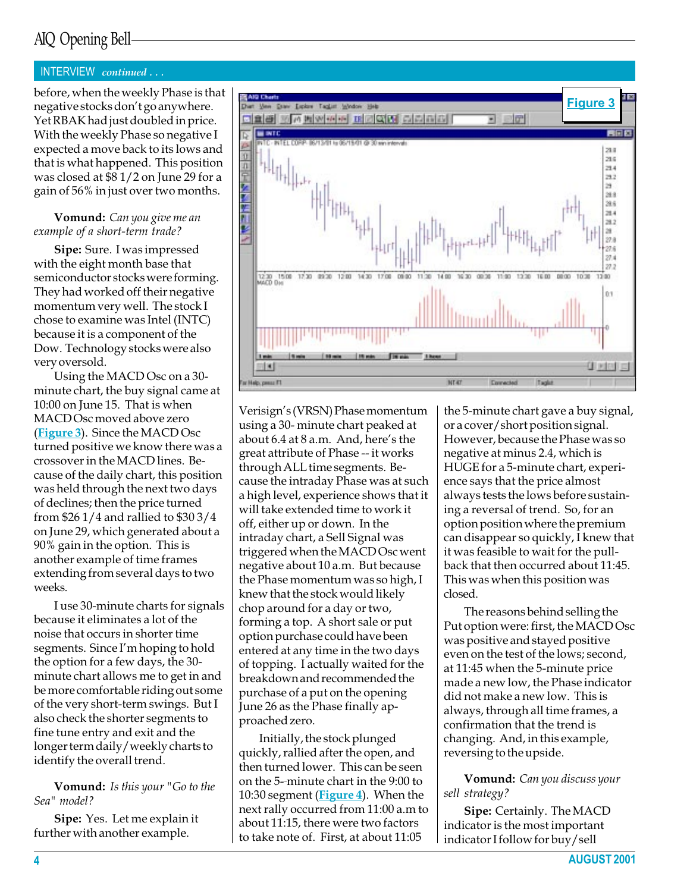#### INTERVIEW continued . . .

before, when the weekly Phase is that negative stocks don't go anywhere. Yet RBAK had just doubled in price. With the weekly Phase so negative I expected a move back to its lows and that is what happened. This position was closed at \$8 1/2 on June 29 for a gain of 56% in just over two months.

#### Vomund: Can you give me an example of a short-term trade?

Sipe: Sure. I was impressed with the eight month base that semiconductor stocks were forming. They had worked off their negative momentum very well. The stock I chose to examine was Intel (INTC) because it is a component of the Dow. Technology stocks were also very oversold.

Using the MACD Osc on a 30 minute chart, the buy signal came at 10:00 on June 15. That is when MACD Osc moved above zero (Figure 3). Since the MACD Osc turned positive we know there was a crossover in the MACD lines. Because of the daily chart, this position was held through the next two days of declines; then the price turned from \$26 1/4 and rallied to \$30 3/4 on June 29, which generated about a 90% gain in the option. This is another example of time frames extending from several days to two weeks.

I use 30-minute charts for signals because it eliminates a lot of the noise that occurs in shorter time segments. Since I'm hoping to hold the option for a few days, the 30 minute chart allows me to get in and be more comfortable riding out some of the very short-term swings. But I also check the shorter segments to fine tune entry and exit and the longer term daily/weekly charts to identify the overall trend.

#### Vomund: Is this your "Go to the Sea" model?

Sipe: Yes. Let me explain it further with another example.



Verisign's (VRSN) Phase momentum using a 30- minute chart peaked at about  $6.4$  at  $8$  a.m. And, here's the great attribute of Phase -- it works through ALL time segments. Because the intraday Phase was at such a high level, experience shows that it will take extended time to work it off, either up or down. In the intraday chart, a Sell Signal was triggered when the MACD Osc went negative about 10 a.m. But because the Phase momentum was so high, I knew that the stock would likely chop around for a day or two, forming a top. A short sale or put option purchase could have been entered at any time in the two days of topping. I actually waited for the breakdown and recommended the purchase of a put on the opening June 26 as the Phase finally approached zero.

Initially, the stock plunged quickly, rallied after the open, and then turned lower. This can be seen on the 5- minute chart in the 9:00 to 10:30 segment (**Figure 4**). When the next rally occurred from 11:00 a.m to about 11:15, there were two factors to take note of. First, at about 11:05

the 5-minute chart gave a buy signal, or a cover/short position signal. However, because the Phase was so negative at minus 2.4, which is HUGE for a 5-minute chart, experience says that the price almost always tests the lows before sustaining a reversal of trend. So, for an option position where the premium can disappear so quickly, I knew that it was feasible to wait for the pullback that then occurred about 11:45. This was when this position was closed.

The reasons behind selling the Put option were: first, the MACD Osc was positive and stayed positive even on the test of the lows; second, at 11:45 when the 5-minute price made a new low, the Phase indicator did not make a new low. This is always, through all time frames, a confirmation that the trend is changing. And, in this example, reversing to the upside.

Vomund: Can you discuss your sell strategy?

Sipe: Certainly. The MACD indicator is the most important indicator I follow for buy/sell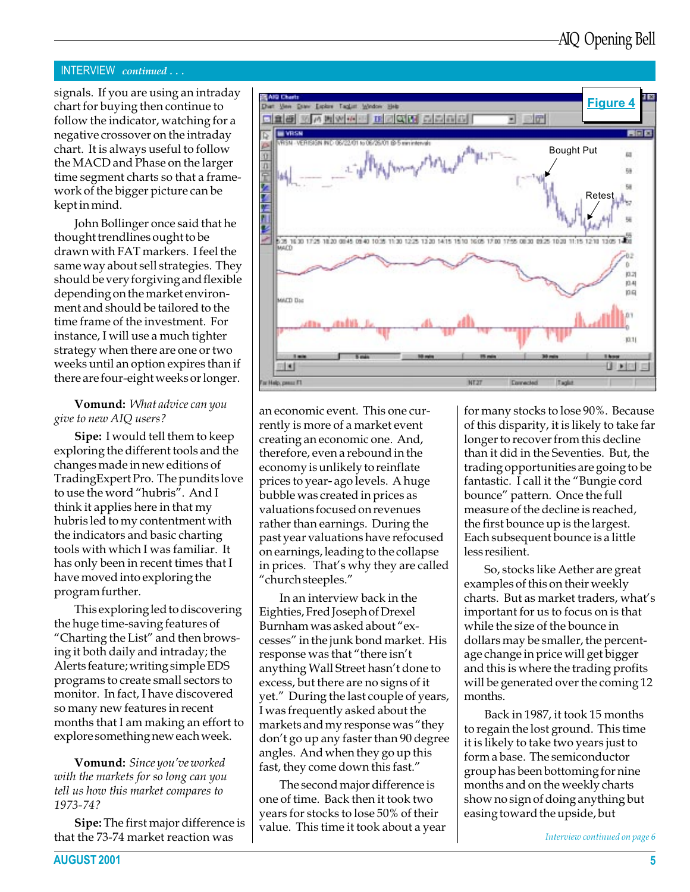#### INTERVIEW continued . . .

chart for buying then continue to follow the indicator, watching for a negative crossover on the intraday chart. It is always useful to follow the MACD and Phase on the larger time segment charts so that a framework of the bigger picture can be kept in mind.

John Bollinger once said that he thought trendlines ought to be drawn with FAT markers. I feel the same way about sell strategies. They should be very forgiving and flexible depending on the market environment and should be tailored to the time frame of the investment. For instance, I will use a much tighter strategy when there are one or two weeks until an option expires than if there are four-eight weeks or longer.

#### **Vomund:** What advice can you give to new AIQ users?

Sipe: I would tell them to keep exploring the different tools and the changes made in new editions of TradingExpert Pro. The pundits love to use the word "hubris". And I think it applies here in that my hubris led to my contentment with the indicators and basic charting tools with which I was familiar. It has only been in recent times that I have moved into exploring the program further.

This exploring led to discovering the huge time-saving features of "Charting the List" and then browsing it both daily and intraday; the Alerts feature; writing simple EDS programs to create small sectors to monitor. In fact, I have discovered so many new features in recent months that I am making an effort to explore something new each week.

**Vomund:** Since you've worked with the markets for so long can you tell us how this market compares to 1973-74?

Sipe: The first major difference is that the 73-74 market reaction was



an economic event. This one currently is more of a market event creating an economic one. And, therefore, even a rebound in the economy is unlikely to reinflate prices to year- ago levels. A huge bubble was created in prices as valuations focused on revenues rather than earnings. During the past year valuations have refocused on earnings, leading to the collapse in prices. That's why they are called church steeples.

In an interview back in the Eighties, Fred Joseph of Drexel Burnham was asked about "excesses" in the junk bond market. His response was that "there isn't anything Wall Street hasn't done to excess, but there are no signs of it yet." During the last couple of years, I was frequently asked about the markets and my response was "they don't go up any faster than 90 degree angles. And when they go up this fast, they come down this fast.

The second major difference is one of time. Back then it took two years for stocks to lose 50% of their value. This time it took about a year for many stocks to lose 90%. Because of this disparity, it is likely to take far longer to recover from this decline than it did in the Seventies. But, the trading opportunities are going to be fantastic. I call it the "Bungie cord bounce" pattern. Once the full measure of the decline is reached, the first bounce up is the largest. Each subsequent bounce is a little less resilient.

So, stocks like Aether are great examples of this on their weekly charts. But as market traders, what's important for us to focus on is that while the size of the bounce in dollars may be smaller, the percentage change in price will get bigger and this is where the trading profits will be generated over the coming 12 months.

Back in 1987, it took 15 months to regain the lost ground. This time it is likely to take two years just to form a base. The semiconductor group has been bottoming for nine months and on the weekly charts show no sign of doing anything but easing toward the upside, but

Interview continued on page 6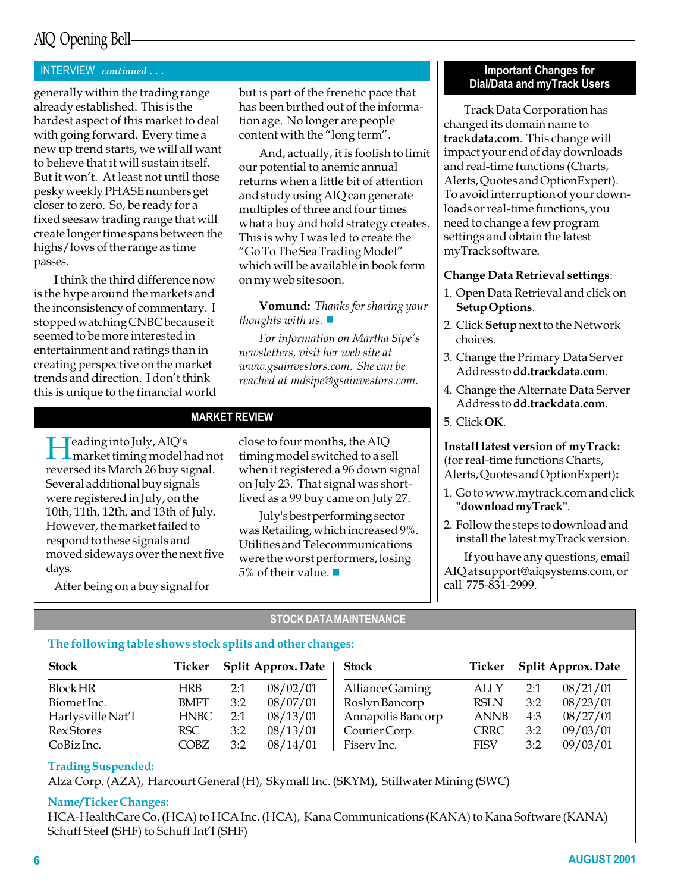#### INTERVIEW continued . . .

generally within the trading range already established. This is the hardest aspect of this market to deal with going forward. Every time a new up trend starts, we will all want to believe that it will sustain itself. But it won't. At least not until those pesky weekly PHASE numbers get closer to zero. So, be ready for a fixed seesaw trading range that will create longer time spans between the highs/lows of the range as time passes.

I think the third difference now is the hype around the markets and the inconsistency of commentary. I stopped watching CNBC because it seemed to be more interested in entertainment and ratings than in creating perspective on the market trends and direction. I don't think this is unique to the financial world

but is part of the frenetic pace that has been birthed out of the information age. No longer are people content with the "long term".

And, actually, it is foolish to limit our potential to anemic annual returns when a little bit of attention and study using AIQ can generate multiples of three and four times what a buy and hold strategy creates. This is why I was led to create the Go To The Sea Trading Model which will be available in book form on my web site soon.

Vomund: Thanks for sharing your thoughts with us.  $\blacksquare$ 

For information on Martha Sipe's newsletters, visit her web site at www.gsainvestors.com. She can be reached at mdsipe@gsainvestors.com.

#### MARKET REVIEW

Heading into July, AIQ's market timing model had not reversed its March 26 buy signal. Several additional buy signals were registered in July, on the 10th, 11th, 12th, and 13th of July. However, the market failed to respond to these signals and moved sideways over the next five days.

After being on a buy signal for

close to four months, the AIQ timing model switched to a sell when it registered a 96 down signal on July 23. That signal was shortlived as a 99 buy came on July 27.

July's best performing sector was Retailing, which increased 9%. Utilities and Telecommunications were the worst performers, losing 5% of their value.  $\blacksquare$ 

#### Important Changes for Dial/Data and myTrack Users

Track Data Corporation has changed its domain name to trackdata.com. This change will impact your end of day downloads and real-time functions (Charts, Alerts, Quotes and OptionExpert). To avoid interruption of your downloads or real-time functions, you need to change a few program settings and obtain the latest myTrack software.

#### Change Data Retrieval settings:

- 1. Open Data Retrieval and click on Setup Options.
- 2. Click Setup next to the Network choices.
- 3. Change the Primary Data Server Address to dd.trackdata.com.
- 4. Change the Alternate Data Server Address to dd.trackdata.com.
- 5. Click OK.

Install latest version of myTrack: (for real-time functions Charts, Alerts, Quotes and OptionExpert):

- 1. Go to www.mytrack.com and click "download myTrack".
- 2. Follow the steps to download and install the latest myTrack version.

If you have any questions, email AIQ at support@aiqsystems.com, or call 775-831-2999.

#### STOCK DATA MAINTENANCE

## The following table shows stock splits and other changes:

| <b>Stock</b>      |             | Ticker Split Approx. Date |          | <b>Stock</b>      |             | Ticker Split Approx. Date |          |
|-------------------|-------------|---------------------------|----------|-------------------|-------------|---------------------------|----------|
| <b>Block HR</b>   | HRB         | 2:1                       | 08/02/01 | Alliance Gaming   | ALLY        | 2:1                       | 08/21/01 |
| Biomet Inc.       | <b>BMET</b> | 3:2                       | 08/07/01 | Roslyn Bancorp    | <b>RSLN</b> | 3:2                       | 08/23/01 |
| Harlysville Nat'l | <b>HNBC</b> | 2:1                       | 08/13/01 | Annapolis Bancorp | <b>ANNB</b> | 4:3                       | 08/27/01 |
| <b>Rex Stores</b> | RSC         | 3:2                       | 08/13/01 | Courier Corp.     | <b>CRRC</b> | 3:2                       | 09/03/01 |
| CoBiz Inc.        | <b>COBZ</b> | 3:2                       | 08/14/01 | Fisery Inc.       | <b>FISV</b> | 3:2                       | 09/03/01 |

## Trading Suspended:

Alza Corp. (AZA), Harcourt General (H), Skymall Inc. (SKYM), Stillwater Mining (SWC)

#### Name/Ticker Changes:

HCA-HealthCare Co. (HCA) to HCA Inc. (HCA), Kana Communications (KANA) to Kana Software (KANA) Schuff Steel (SHF) to Schuff Int'l (SHF)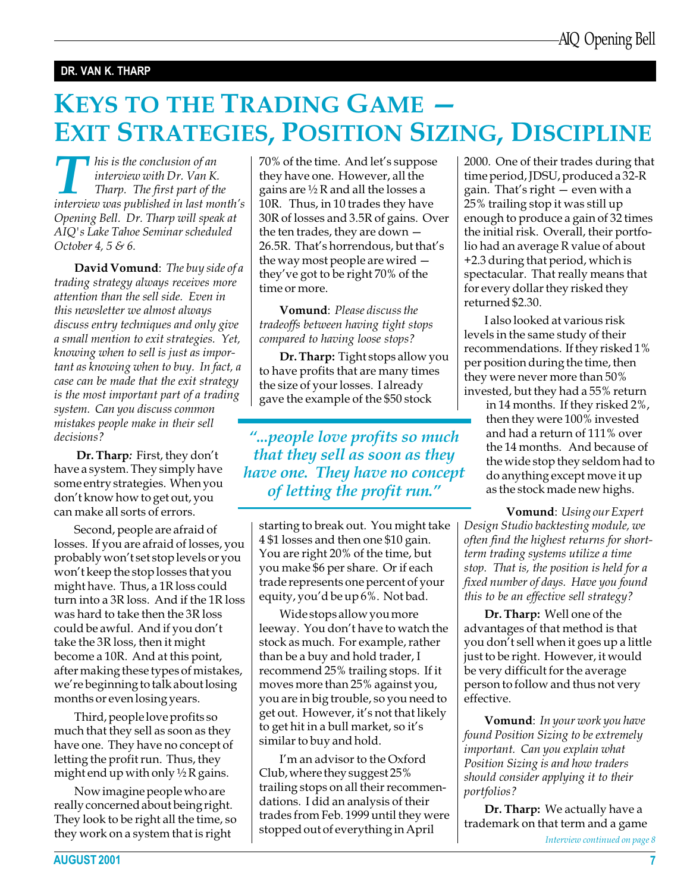## DR. VAN K. THARP

# KEYS TO THE TRADING GAME EXIT STRATEGIES, POSITION SIZING, DISCIPLINE

I his is the conclusion of an interview with Dr. Van K. Tharp. The first part of the interview was published in last month's Opening Bell. Dr. Tharp will speak at AIQ's Lake Tahoe Seminar scheduled October 4, 5 & 6.

David Vomund: The buy side of a trading strategy always receives more attention than the sell side. Even in this newsletter we almost always discuss entry techniques and only give a small mention to exit strategies. Yet, knowing when to sell is just as important as knowing when to buy. In fact, a case can be made that the exit strategy is the most important part of a trading system. Can you discuss common mistakes people make in their sell decisions?

Dr. Tharp: First, they don't have a system. They simply have some entry strategies. When you don't know how to get out, you can make all sorts of errors.

Second, people are afraid of losses. If you are afraid of losses, you probably won't set stop levels or you won't keep the stop losses that you might have. Thus, a 1R loss could turn into a 3R loss. And if the 1R loss was hard to take then the 3R loss could be awful. And if you don't take the 3R loss, then it might become a 10R. And at this point, after making these types of mistakes, we're beginning to talk about losing months or even losing years.

Third, people love profits so much that they sell as soon as they have one. They have no concept of letting the profit run. Thus, they might end up with only  $\frac{1}{2}$  R gains.

Now imagine people who are really concerned about being right. They look to be right all the time, so they work on a system that is right

70% of the time. And let's suppose they have one. However, all the gains are  $\frac{1}{2}$  R and all the losses a 10R. Thus, in 10 trades they have 30R of losses and 3.5R of gains. Over the ten trades, they are down 26.5R. That's horrendous, but that's the way most people are wired they've got to be right 70% of the time or more.

Vomund: Please discuss the tradeoffs between having tight stops compared to having loose stops?

Dr. Tharp: Tight stops allow you to have profits that are many times the size of your losses. I already gave the example of the \$50 stock

"...people love profits so much that they sell as soon as they have one. They have no concept of letting the profit run.

starting to break out. You might take 4 \$1 losses and then one \$10 gain. You are right 20% of the time, but you make \$6 per share. Or if each trade represents one percent of your equity, you'd be up  $6\%$ . Not bad.

Wide stops allow you more leeway. You don't have to watch the stock as much. For example, rather than be a buy and hold trader, I recommend 25% trailing stops. If it moves more than 25% against you, you are in big trouble, so you need to get out. However, it's not that likely to get hit in a bull market, so it's similar to buy and hold.

I'm an advisor to the Oxford Club, where they suggest 25% trailing stops on all their recommendations. I did an analysis of their trades from Feb. 1999 until they were stopped out of everything in April

2000. One of their trades during that time period, JDSU, produced a 32-R gain. That's right  $-$  even with a 25% trailing stop it was still up enough to produce a gain of 32 times the initial risk. Overall, their portfolio had an average R value of about +2.3 during that period, which is spectacular. That really means that for every dollar they risked they returned \$2.30.

recommendations. If they risked 1% I also looked at various risk levels in the same study of their per position during the time, then they were never more than 50% invested, but they had a 55% return

in 14 months. If they risked 2%, then they were 100% invested and had a return of 111% over the 14 months. And because of the wide stop they seldom had to do anything except move it up as the stock made new highs.

Vomund: Using our Expert Design Studio backtesting module, we often find the highest returns for shortterm trading systems utilize a time stop. That is, the position is held for a fixed number of days. Have you found this to be an effective sell strategy?

Dr. Tharp: Well one of the advantages of that method is that you don't sell when it goes up a little just to be right. However, it would be very difficult for the average person to follow and thus not very effective.

Vomund: In your work you have found Position Sizing to be extremely important. Can you explain what Position Sizing is and how traders should consider applying it to their portfolios?

Dr. Tharp: We actually have a trademark on that term and a game